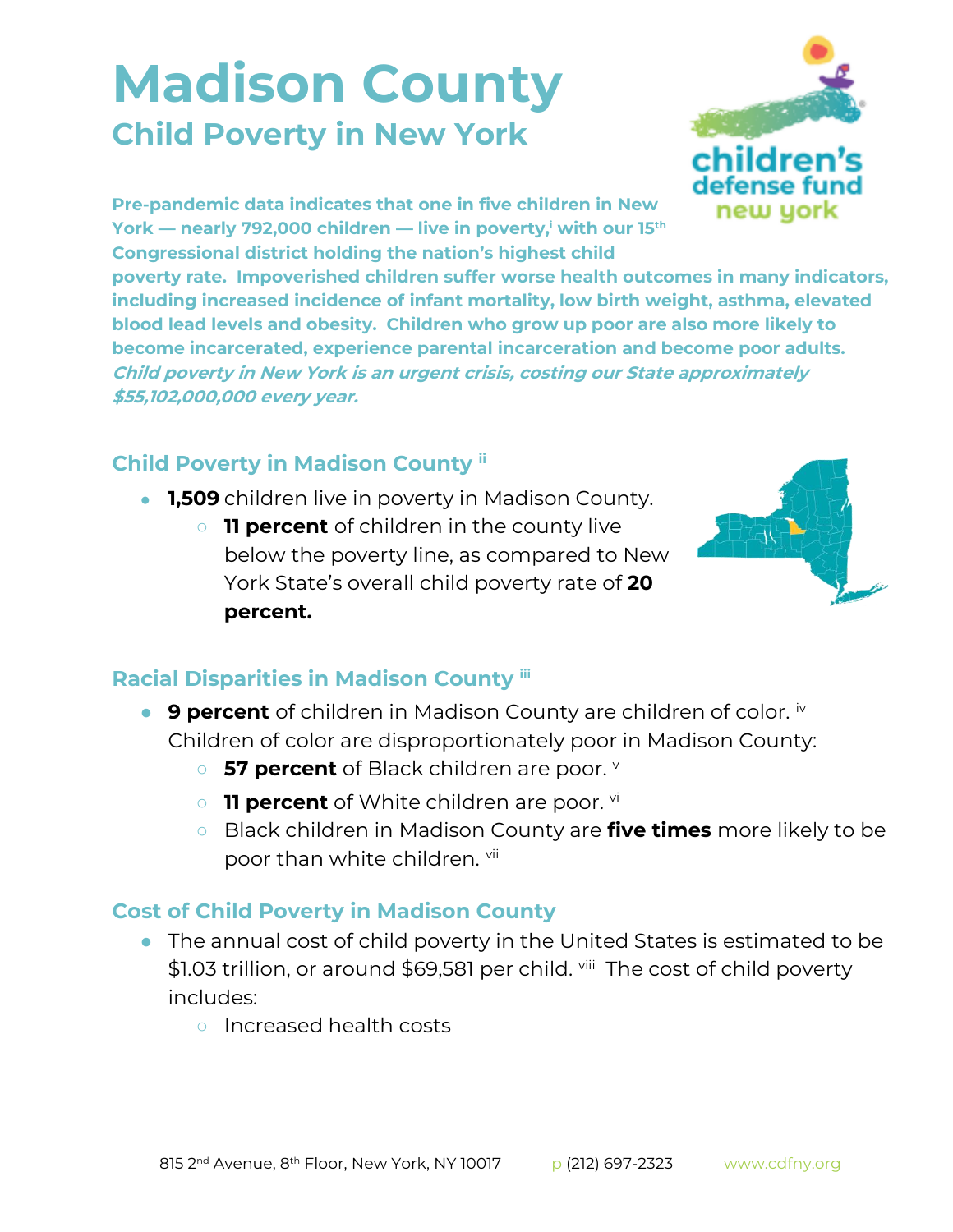## **Madison County Child Poverty in New York**



**Pre-pandemic data indicates that one in five children in New York — nearly 792,000 children — live in poverty,<sup>i</sup> with our 15th Congressional district holding the nation's highest child** 

**poverty rate. Impoverished children suffer worse health outcomes in many indicators, including increased incidence of infant mortality, low birth weight, asthma, elevated blood lead levels and obesity. Children who grow up poor are also more likely to become incarcerated, experience parental incarceration and become poor adults. Child poverty in New York is an urgent crisis, costing our State approximately \$55,102,000,000 every year.**

## **Child Poverty in Madison County ii**

- **1,509** children live in poverty in Madison County.
	- **11 percent** of children in the county live below the poverty line, as compared to New York State's overall child poverty rate of **20 percent.**



## **Racial Disparities in Madison County iii**

- **9 percent** of children in Madison County are children of color. iv Children of color are disproportionately poor in Madison County:
	- **57 percent** of Black children are poor. **v**
	- o **11 percent** of White children are poor. vi
	- Black children in Madison County are **five times** more likely to be poor than white children. vii

## **Cost of Child Poverty in Madison County**

- The annual cost of child poverty in the United States is estimated to be \$1.03 trillion, or around \$69,581 per child. <sup>viii</sup> The cost of child poverty includes:
	- Increased health costs